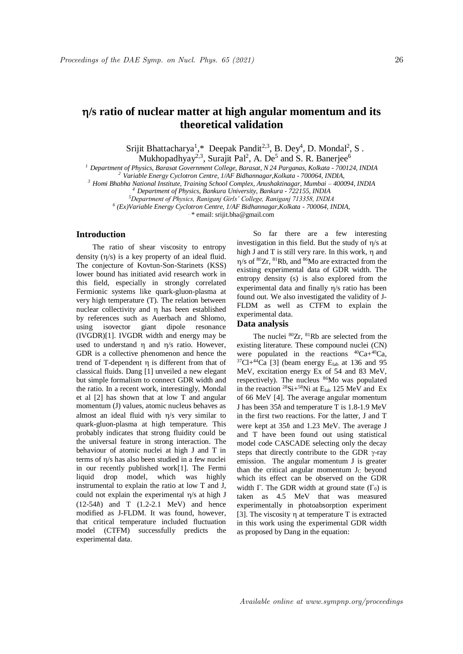# **/s ratio of nuclear matter at high angular momentum and its theoretical validation**

Srijit Bhattacharya<sup>1</sup>,\* Deepak Pandit<sup>2,3</sup>, B. Dey<sup>4</sup>, D. Mondal<sup>2</sup>, S.

Mukhopadhyay<sup>2,3</sup>, Surajit Pal<sup>2</sup>, A. De<sup>5</sup> and S. R. Banerjee<sup>6</sup>

*<sup>1</sup> Department of Physics, Barasat Government College, Barasat, N 24 Parganas, Kolkata - 700124, INDIA*

*<sup>2</sup> Variable Energy Cyclotron Centre, 1/AF Bidhannagar,Kolkata - 700064, INDIA,*

*<sup>3</sup> Homi Bhabha National Institute, Training School Complex, Anushaktinagar, Mumbai – 400094, INDIA*

*<sup>4</sup> Department of Physics, Bankura University, Bankura - 722155, INDIA*

*<sup>5</sup>Department of Physics, Raniganj Girls' College, Raniganj 713358, INDIA*

*6 (Ex)Variable Energy Cyclotron Centre, 1/AF Bidhannagar,Kolkata - 700064, INDIA,*

. \* email: srijit.bha@gmail.com

## **Introduction**

The ratio of shear viscosity to entropy density  $(\eta/s)$  is a key property of an ideal fluid. The conjecture of Kovtun-Son-Starinets (KSS) lower bound has initiated avid research work in this field, especially in strongly correlated Fermionic systems like quark-gluon-plasma at very high temperature (T). The relation between nuclear collectivity and η has been established by references such as Auerbach and Shlomo, using isovector giant dipole resonance (IVGDR)[1]. IVGDR width and energy may be used to understand  $\eta$  and  $\eta/s$  ratio. However, GDR is a collective phenomenon and hence the trend of T-dependent η is different from that of classical fluids. Dang [1] unveiled a new elegant but simple formalism to connect GDR width and the ratio. In a recent work, interestingly, Mondal et al [2] has shown that at low T and angular momentum (J) values, atomic nucleus behaves as almost an ideal fluid with  $\eta$ /s very similar to quark-gluon-plasma at high temperature. This probably indicates that strong fluidity could be the universal feature in strong interaction. The behaviour of atomic nuclei at high J and T in terms of  $\eta$ /s has also been studied in a few nuclei in our recently published work[1]. The Fermi liquid drop model, which was highly instrumental to explain the ratio at low T and J, could not explain the experimental  $\eta$ /s at high J  $(12-54h)$  and T  $(1.2-2.1 \text{ MeV})$  and hence modified as J-FLDM. It was found, however, that critical temperature included fluctuation model (CTFM) successfully predicts the experimental data.

So far there are a few interesting investigation in this field. But the study of  $\eta$ /s at high J and T is still very rare. In this work,  $\eta$  and  $\eta$ /s of <sup>80</sup>Zr, <sup>81</sup>Rb, and <sup>86</sup>Mo are extracted from the existing experimental data of GDR width. The entropy density (s) is also explored from the experimental data and finally  $n/s$  ratio has been found out. We also investigated the validity of J-FLDM as well as CTFM to explain the experimental data.

#### **Data analysis**

The nuclei  ${}^{80}Zr$ ,  ${}^{81}Rb$  are selected from the existing literature. These compound nuclei (CN) were populated in the reactions  ${}^{40}Ca+{}^{40}Ca$ ,  $37$ Cl+ $44$ Ca [3] (beam energy E<sub>lab</sub> at 136 and 95 MeV, excitation energy Ex of 54 and 83 MeV, respectively). The nucleus <sup>86</sup>Mo was populated in the reaction  ${}^{28}\text{Si}+{}^{58}\text{Ni}$  at  $E_{lab}$  125 MeV and Ex of 66 MeV [4]. The average angular momentum J has been  $35\hbar$  and temperature T is 1.8-1.9 MeV in the first two reactions. For the latter, J and T were kept at  $35h$  and 1.23 MeV. The average J and T have been found out using statistical model code CASCADE selecting only the decay steps that directly contribute to the GDR  $\gamma$ -ray emission. The angular momentum J is greater than the critical angular momentum  $J_C$  beyond which its effect can be observed on the GDR width  $\Gamma$ . The GDR width at ground state  $(\Gamma_0)$  is taken as 4.5 MeV that was measured experimentally in photoabsorption experiment [3]. The viscosity  $\eta$  at temperature T is extracted in this work using the experimental GDR width as proposed by Dang in the equation: